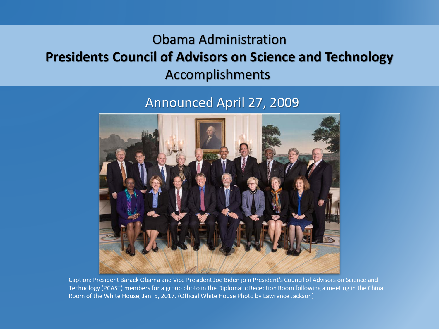### Obama Administration **Presidents Council of Advisors on Science and Technology** Accomplishments

### Announced April 27, 2009



Caption: President Barack Obama and Vice President Joe Biden join President's Council of Advisors on Science and Technology (PCAST) members for a group photo in the Diplomatic Reception Room following a meeting in the China Room of the White House, Jan. 5, 2017. (Official White House Photo by Lawrence Jackson)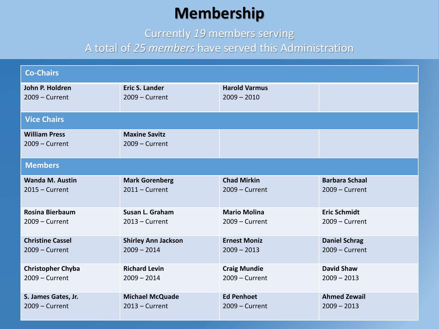# **Membership**

Currently *19* members serving

#### A total of *25 members* have served this Administration

| <b>Co-Chairs</b>                         |                                          |                      |                       |  |  |
|------------------------------------------|------------------------------------------|----------------------|-----------------------|--|--|
| John P. Holdren                          | <b>Eric S. Lander</b>                    | <b>Harold Varmus</b> |                       |  |  |
| $2009 -$ Current                         | $2009 -$ Current                         | $2009 - 2010$        |                       |  |  |
| <b>Vice Chairs</b>                       |                                          |                      |                       |  |  |
| <b>William Press</b><br>$2009 -$ Current | <b>Maxine Savitz</b><br>$2009 - Current$ |                      |                       |  |  |
| <b>Members</b>                           |                                          |                      |                       |  |  |
| <b>Wanda M. Austin</b>                   | <b>Mark Gorenberg</b>                    | <b>Chad Mirkin</b>   | <b>Barbara Schaal</b> |  |  |
| $2015 -$ Current                         | $2011 -$ Current                         | $2009 -$ Current     | $2009 -$ Current      |  |  |
| Rosina Bierbaum                          | Susan L. Graham                          | <b>Mario Molina</b>  | <b>Eric Schmidt</b>   |  |  |
| $2009 -$ Current                         | $2013 -$ Current                         | $2009 -$ Current     | $2009 - Current$      |  |  |
| <b>Christine Cassel</b>                  | <b>Shirley Ann Jackson</b>               | <b>Ernest Moniz</b>  | <b>Daniel Schrag</b>  |  |  |
| $2009 -$ Current                         | $2009 - 2014$                            | $2009 - 2013$        | $2009 -$ Current      |  |  |
| <b>Christopher Chyba</b>                 | <b>Richard Levin</b>                     | <b>Craig Mundie</b>  | <b>David Shaw</b>     |  |  |
| $2009 -$ Current                         | $2009 - 2014$                            | $2009 -$ Current     | $2009 - 2013$         |  |  |
| S. James Gates, Jr.                      | <b>Michael McQuade</b>                   | <b>Ed Penhoet</b>    | <b>Ahmed Zewail</b>   |  |  |
| $2009 -$ Current                         | $2013$ – Current                         | $2009 -$ Current     | $2009 - 2013$         |  |  |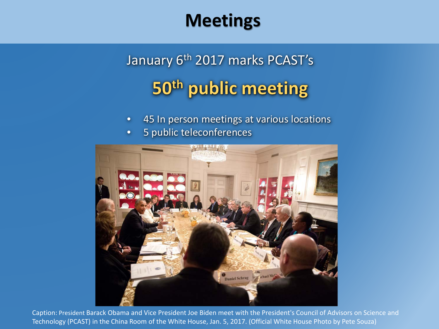# **Meetings**

# January 6<sup>th</sup> 2017 marks PCAST's 50th public meeting

- 45 In person meetings at various locations
- 5 public teleconferences



Caption: President Barack Obama and Vice President Joe Biden meet with the President's Council of Advisors on Science and Technology (PCAST) in the China Room of the White House, Jan. 5, 2017. (Official White House Photo by Pete Souza)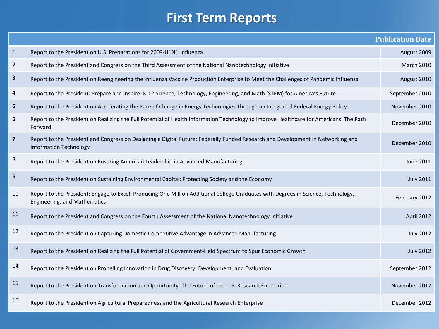### **First Term Reports**

|                         |                                                                                                                                                                   | <b>Publication Date</b> |
|-------------------------|-------------------------------------------------------------------------------------------------------------------------------------------------------------------|-------------------------|
| $\mathbf{1}$            | Report to the President on U.S. Preparations for 2009-H1N1 Influenza                                                                                              | August 2009             |
| $\overline{\mathbf{2}}$ | Report to the President and Congress on the Third Assessment of the National Nanotechnology Initiative                                                            | <b>March 2010</b>       |
| 3                       | Report to the President on Reengineering the Influenza Vaccine Production Enterprise to Meet the Challenges of Pandemic Influenza                                 | August 2010             |
| 4                       | Report to the President: Prepare and Inspire: K-12 Science, Technology, Engineering, and Math (STEM) for America's Future                                         | September 2010          |
| 5                       | Report to the President on Accelerating the Pace of Change in Energy Technologies Through an Integrated Federal Energy Policy                                     | November 2010           |
| 6                       | Report to the President on Realizing the Full Potential of Health Information Technology to Improve Healthcare for Americans: The Path<br>Forward                 | December 2010           |
| $\overline{\mathbf{z}}$ | Report to the President and Congress on Designing a Digital Future: Federally Funded Research and Development in Networking and<br><b>Information Technology</b>  | December 2010           |
| 8                       | Report to the President on Ensuring American Leadership in Advanced Manufacturing                                                                                 | June 2011               |
| 9                       | Report to the President on Sustaining Environmental Capital: Protecting Society and the Economy                                                                   | <b>July 2011</b>        |
| 10                      | Report to the President: Engage to Excel: Producing One Million Additional College Graduates with Degrees in Science, Technology,<br>Engineering, and Mathematics | February 2012           |
| 11                      | Report to the President and Congress on the Fourth Assessment of the National Nanotechnology Initiative                                                           | April 2012              |
| 12                      | Report to the President on Capturing Domestic Competitive Advantage in Advanced Manufacturing                                                                     | <b>July 2012</b>        |
| 13                      | Report to the President on Realizing the Full Potential of Government-Held Spectrum to Spur Economic Growth                                                       | <b>July 2012</b>        |
| 14                      | Report to the President on Propelling Innovation in Drug Discovery, Development, and Evaluation                                                                   | September 2012          |
| 15                      | Report to the President on Transformation and Opportunity: The Future of the U.S. Research Enterprise                                                             | November 2012           |
| 16                      | Report to the President on Agricultural Preparedness and the Agricultural Research Enterprise                                                                     | December 2012           |